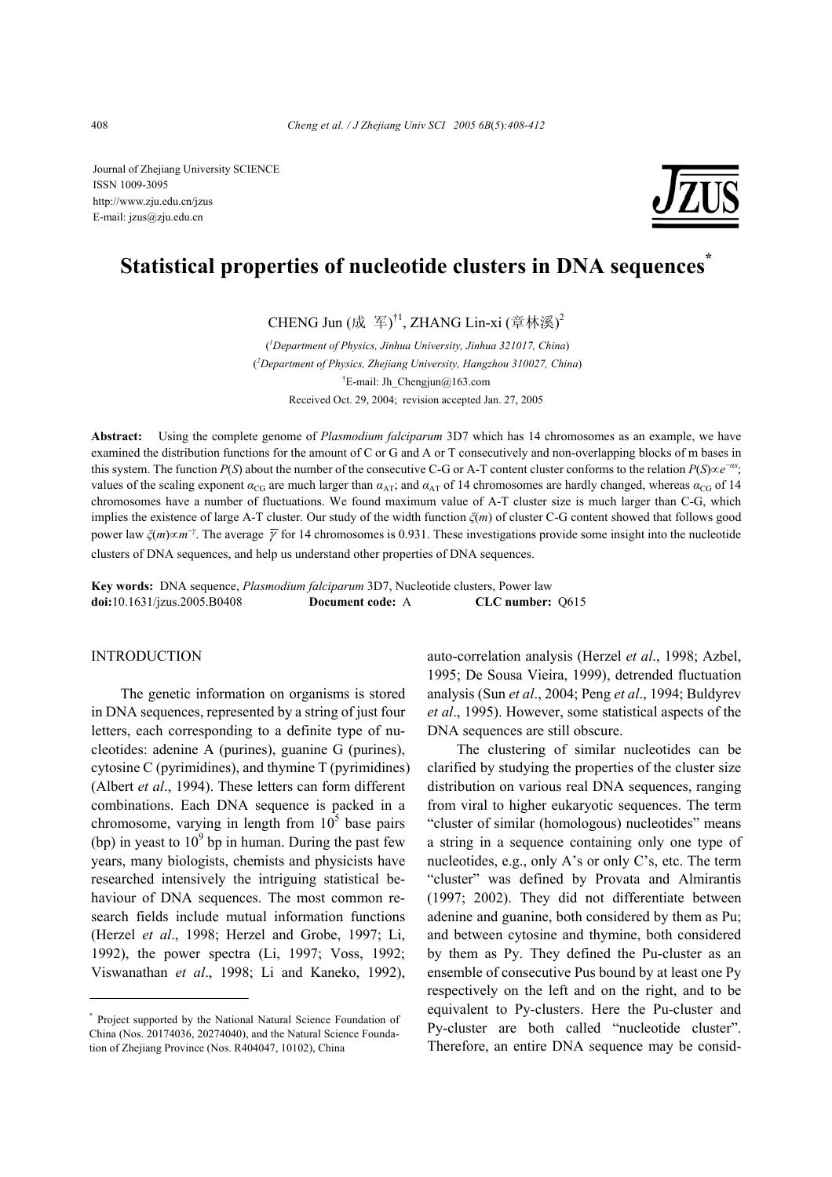Journal of Zhejiang University SCIENCE ISSN 1009-3095 http://www.zju.edu.cn/jzus E-mail: jzus@zju.edu.cn



# **Statistical properties of nucleotide clusters in DNA sequences\***

CHENG Jun (成 军) $^{\dagger1}$ , ZHANG Lin-xi (章林溪) $^2$ 

( *1 Department of Physics, Jinhua University, Jinhua 321017, China*) ( *2 Department of Physics, Zhejiang University, Hangzhou 310027, China*) <sup>†</sup>E-mail: Jh\_Chengjun@163.com Received Oct. 29, 2004; revision accepted Jan. 27, 2005

**Abstract:** Using the complete genome of *Plasmodium falciparum* 3D7 which has 14 chromosomes as an example, we have examined the distribution functions for the amount of C or G and A or T consecutively and non-overlapping blocks of m bases in this system. The function *P*(*S*) about the number of the consecutive C-G or A-T content cluster conforms to the relation *P*(*S*)∝*e*<sup>−*α*</sup><sup>*s*</sup>, values of the scaling exponent  $\alpha_{\text{CG}}$  are much larger than  $\alpha_{\text{AT}}$ ; and  $\alpha_{\text{AT}}$  of 14 chromosomes are hardly changed, whereas  $\alpha_{\text{CG}}$  of 14 chromosomes have a number of fluctuations. We found maximum value of A-T cluster size is much larger than C-G, which implies the existence of large A-T cluster. Our study of the width function *ξ*(*m*) of cluster C-G content showed that follows good power law  $\zeta(m) \propto m^{-\gamma}$ . The average  $\overline{\gamma}$  for 14 chromosomes is 0.931. These investigations provide some insight into the nucleotide clusters of DNA sequences, and help us understand other properties of DNA sequences.

**Key words:** DNA sequence, *Plasmodium falciparum* 3D7, Nucleotide clusters, Power law **doi:**10.1631/jzus.2005.B0408 **Document code:** A **CLC number:** Q615

### **INTRODUCTION**

The genetic information on organisms is stored in DNA sequences, represented by a string of just four letters, each corresponding to a definite type of nucleotides: adenine A (purines), guanine G (purines), cytosine C (pyrimidines), and thymine T (pyrimidines) (Albert *et al*., 1994). These letters can form different combinations. Each DNA sequence is packed in a chromosome, varying in length from  $10<sup>5</sup>$  base pairs (bp) in yeast to  $10^9$  bp in human. During the past few years, many biologists, chemists and physicists have researched intensively the intriguing statistical behaviour of DNA sequences. The most common research fields include mutual information functions (Herzel *et al*., 1998; Herzel and Grobe, 1997; Li, 1992), the power spectra (Li, 1997; Voss, 1992; Viswanathan *et al*., 1998; Li and Kaneko, 1992),

auto-correlation analysis (Herzel *et al*., 1998; Azbel, 1995; De Sousa Vieira, 1999), detrended fluctuation analysis (Sun *et al*., 2004; Peng *et al*., 1994; Buldyrev *et al*., 1995). However, some statistical aspects of the DNA sequences are still obscure.

The clustering of similar nucleotides can be clarified by studying the properties of the cluster size distribution on various real DNA sequences, ranging from viral to higher eukaryotic sequences. The term "cluster of similar (homologous) nucleotides" means a string in a sequence containing only one type of nucleotides, e.g., only A's or only C's, etc. The term "cluster" was defined by Provata and Almirantis (1997; 2002). They did not differentiate between adenine and guanine, both considered by them as Pu; and between cytosine and thymine, both considered by them as Py. They defined the Pu-cluster as an ensemble of consecutive Pus bound by at least one Py respectively on the left and on the right, and to be equivalent to Py-clusters. Here the Pu-cluster and Py-cluster are both called "nucleotide cluster". Therefore, an entire DNA sequence may be consid-

<sup>\*</sup> Project supported by the National Natural Science Foundation of China (Nos. 20174036, 20274040), and the Natural Science Foundation of Zhejiang Province (Nos. R404047, 10102), China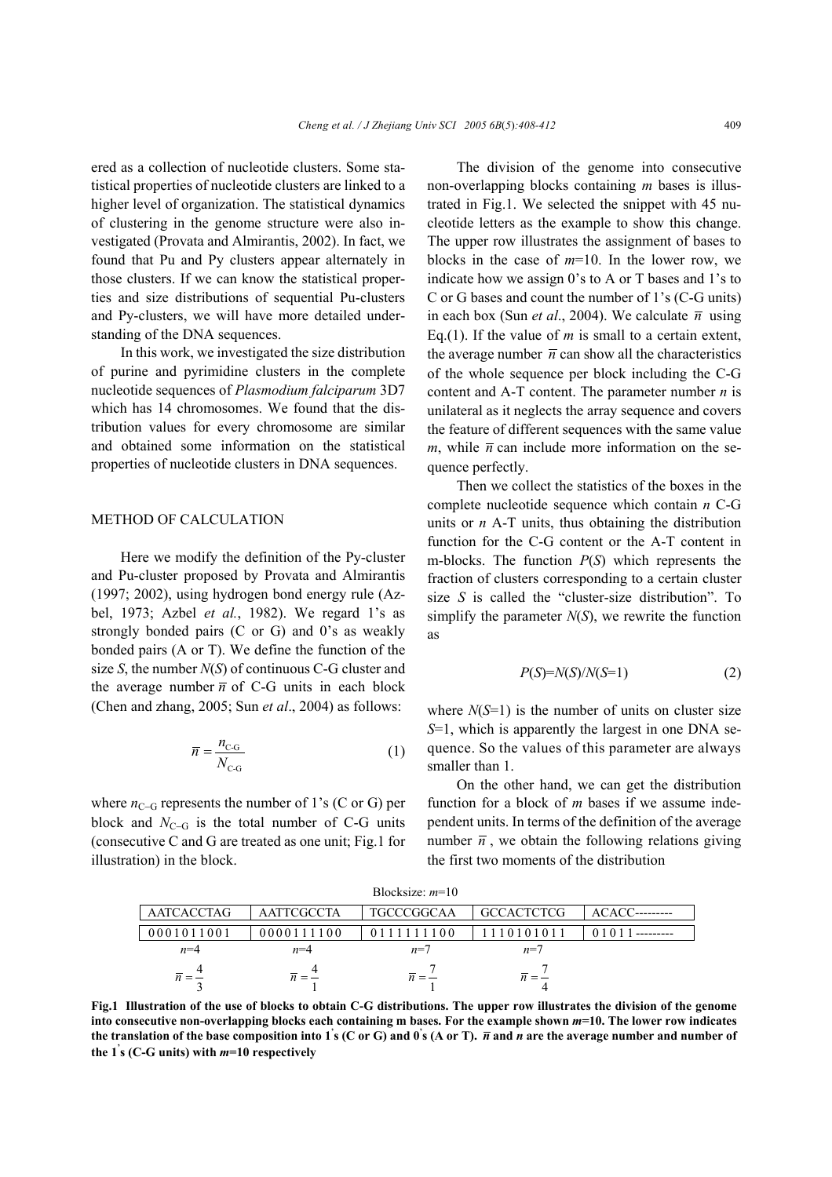ered as a collection of nucleotide clusters. Some statistical properties of nucleotide clusters are linked to a higher level of organization. The statistical dynamics of clustering in the genome structure were also investigated (Provata and Almirantis, 2002). In fact, we found that Pu and Py clusters appear alternately in those clusters. If we can know the statistical properties and size distributions of sequential Pu-clusters and Py-clusters, we will have more detailed understanding of the DNA sequences.

In this work, we investigated the size distribution of purine and pyrimidine clusters in the complete nucleotide sequences of *Plasmodium falciparum* 3D7 which has 14 chromosomes. We found that the distribution values for every chromosome are similar and obtained some information on the statistical properties of nucleotide clusters in DNA sequences.

### METHOD OF CALCULATION

Here we modify the definition of the Py-cluster and Pu-cluster proposed by Provata and Almirantis (1997; 2002), using hydrogen bond energy rule (Azbel, 1973; Azbel *et al.*, 1982). We regard 1's as strongly bonded pairs (C or G) and 0's as weakly bonded pairs (A or T). We define the function of the size *S*, the number *N*(*S*) of continuous C-G cluster and the average number  $\overline{n}$  of C-G units in each block (Chen and zhang, 2005; Sun *et al*., 2004) as follows:

$$
\overline{n} = \frac{n_{\text{C-G}}}{N_{\text{C-G}}}
$$
 (1)

where  $n_{C-G}$  represents the number of 1's (C or G) per block and  $N_{C-G}$  is the total number of C-G units (consecutive C and G are treated as one unit; Fig.1 for illustration) in the block.

The division of the genome into consecutive non-overlapping blocks containing *m* bases is illustrated in Fig.1. We selected the snippet with 45 nucleotide letters as the example to show this change. The upper row illustrates the assignment of bases to blocks in the case of *m*=10. In the lower row, we indicate how we assign 0's to A or T bases and 1's to C or G bases and count the number of 1's (C-G units) in each box (Sun *et al.*, 2004). We calculate  $\overline{n}$  using Eq.(1). If the value of *m* is small to a certain extent, the average number  $\overline{n}$  can show all the characteristics of the whole sequence per block including the C-G content and A-T content. The parameter number *n* is unilateral as it neglects the array sequence and covers the feature of different sequences with the same value *m*, while  $\bar{n}$  can include more information on the sequence perfectly.

Then we collect the statistics of the boxes in the complete nucleotide sequence which contain *n* C-G units or *n* A-T units, thus obtaining the distribution function for the C-G content or the A-T content in m-blocks. The function *P*(*S*) which represents the fraction of clusters corresponding to a certain cluster size *S* is called the "cluster-size distribution". To simplify the parameter  $N(S)$ , we rewrite the function as

$$
P(S)=N(S)/N(S=1)
$$
 (2)

where  $N(S=1)$  is the number of units on cluster size *S*=1, which is apparently the largest in one DNA sequence. So the values of this parameter are always smaller than 1.

On the other hand, we can get the distribution function for a block of *m* bases if we assume independent units. In terms of the definition of the average number  $\overline{n}$ , we obtain the following relations giving the first two moments of the distribution

|                   |                   | $BIOCKSIZE$ : $m=10$ |                   |         |
|-------------------|-------------------|----------------------|-------------------|---------|
| <b>AATCACCTAG</b> | <b>AATTCGCCTA</b> | <b>TGCCCGGCAA</b>    | <b>GCCACTCTCG</b> | ACACC-- |
| 0001011001        | 0000111100        | 0111111100           | 01011             |         |
| $n=4$             | $n=4$             | $n=7$                | $n = 7$           |         |
|                   | $n = -$           | $\overline{n}=-$     | $n = -$           |         |

Blocksize: *m*=10

**Fig.1 Illustration of the use of blocks to obtain C-G distributions. The upper row illustrates the division of the genome into consecutive non-overlapping blocks each containing m bases. For the example shown** *m***=10. The lower row indicates**  the translation of the base composition into 1's (C or G) and 0's (A or T).  $\bar{n}$  and  $n$  are the average number and number of **the 1' s (C-G units) with** *m***=10 respectively**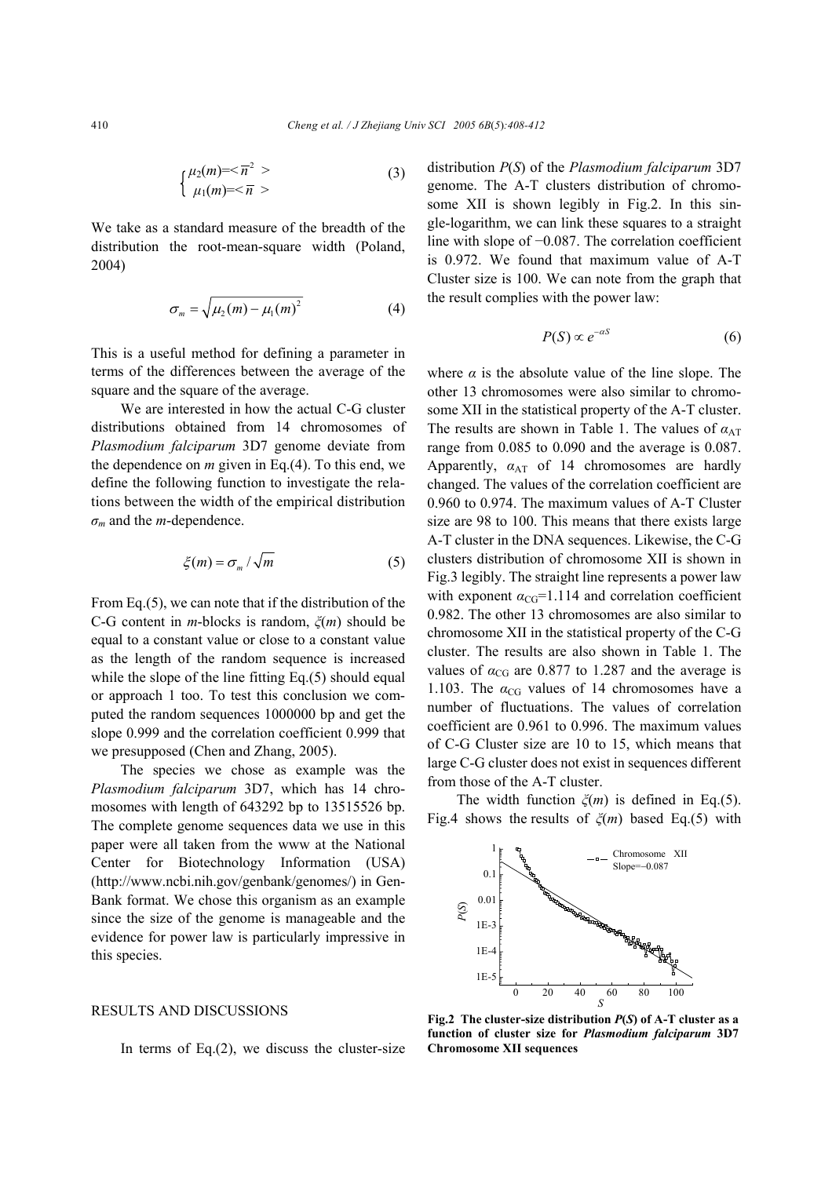$$
\begin{cases} \mu_2(m) = <\overline{n}^2 > \\ \mu_1(m) = <\overline{n} > \end{cases} \tag{3}
$$

We take as a standard measure of the breadth of the distribution the root-mean-square width (Poland, 2004)

$$
\sigma_m = \sqrt{\mu_2(m) - \mu_1(m)^2} \tag{4}
$$

This is a useful method for defining a parameter in terms of the differences between the average of the square and the square of the average.

We are interested in how the actual C-G cluster distributions obtained from 14 chromosomes of *Plasmodium falciparum* 3D7 genome deviate from the dependence on *m* given in Eq.(4). To this end, we define the following function to investigate the relations between the width of the empirical distribution  $\sigma_m$  and the *m*-dependence.

$$
\xi(m) = \sigma_m / \sqrt{m} \tag{5}
$$

From Eq.(5), we can note that if the distribution of the C-G content in *m*-blocks is random, *ξ*(*m*) should be equal to a constant value or close to a constant value as the length of the random sequence is increased while the slope of the line fitting Eq.(5) should equal or approach 1 too. To test this conclusion we computed the random sequences 1000000 bp and get the slope 0.999 and the correlation coefficient 0.999 that we presupposed (Chen and Zhang, 2005).

The species we chose as example was the *Plasmodium falciparum* 3D7, which has 14 chromosomes with length of 643292 bp to 13515526 bp. The complete genome sequences data we use in this paper were all taken from the www at the National Center for Biotechnology Information (USA) (http://www.ncbi.nih.gov/genbank/genomes/) in Gen-Bank format. We chose this organism as an example since the size of the genome is manageable and the evidence for power law is particularly impressive in this species.

## RESULTS AND DISCUSSIONS

In terms of Eq. $(2)$ , we discuss the cluster-size

distribution *P*(*S*) of the *Plasmodium falciparum* 3D7 genome. The A-T clusters distribution of chromosome XII is shown legibly in Fig.2. In this single-logarithm, we can link these squares to a straight line with slope of −0.087. The correlation coefficient is 0.972. We found that maximum value of A-T Cluster size is 100. We can note from the graph that the result complies with the power law:

$$
P(S) \propto e^{-\alpha S} \tag{6}
$$

where  $\alpha$  is the absolute value of the line slope. The other 13 chromosomes were also similar to chromosome XII in the statistical property of the A-T cluster. The results are shown in Table 1. The values of  $\alpha_{\text{AT}}$ range from 0.085 to 0.090 and the average is 0.087. Apparently,  $\alpha_{AT}$  of 14 chromosomes are hardly changed. The values of the correlation coefficient are 0.960 to 0.974. The maximum values of A-T Cluster size are 98 to 100. This means that there exists large A-T cluster in the DNA sequences. Likewise, the C-G clusters distribution of chromosome XII is shown in Fig.3 legibly. The straight line represents a power law with exponent  $\alpha_{CG} = 1.114$  and correlation coefficient 0.982. The other 13 chromosomes are also similar to chromosome XII in the statistical property of the C-G cluster. The results are also shown in Table 1. The values of  $\alpha_{CG}$  are 0.877 to 1.287 and the average is 1.103. The  $\alpha_{CG}$  values of 14 chromosomes have a number of fluctuations. The values of correlation coefficient are 0.961 to 0.996. The maximum values of C-G Cluster size are 10 to 15, which means that large C-G cluster does not exist in sequences different from those of the A-T cluster.

The width function *ξ*(*m*) is defined in Eq.(5). Fig.4 shows the results of *ξ*(*m*) based Eq.(5) with



**Fig.2 The cluster-size distribution** *P***(***S***) of A-T cluster as a function of cluster size for** *Plasmodium falciparum* **3D7 Chromosome XII sequences**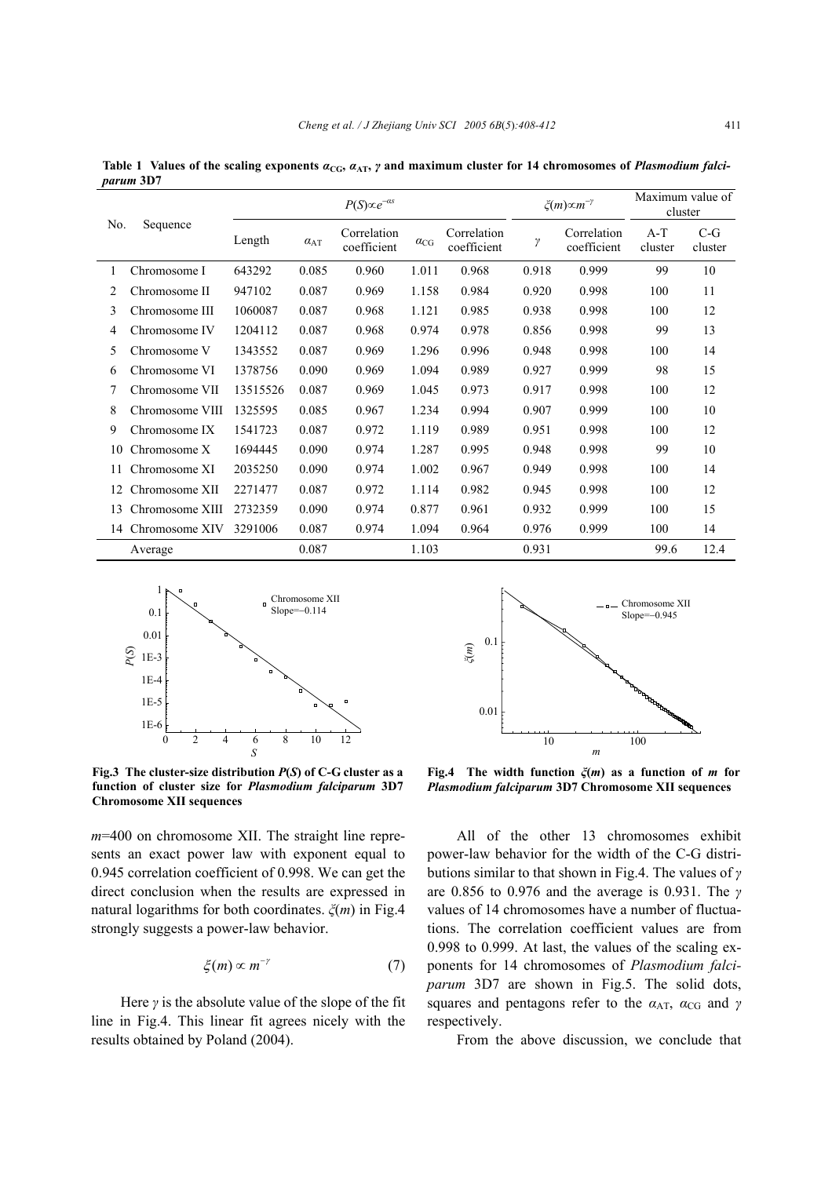| No. | Sequence          | $P(S) \propto e^{-\alpha s}$ |                   |                            |               | $\xi(m) \infty m^{-\gamma}$ |       | Maximum value of<br>cluster |                  |                  |
|-----|-------------------|------------------------------|-------------------|----------------------------|---------------|-----------------------------|-------|-----------------------------|------------------|------------------|
|     |                   | Length                       | $\alpha_{\rm AT}$ | Correlation<br>coefficient | $\alpha_{CG}$ | Correlation<br>coefficient  | γ     | Correlation<br>coefficient  | $A-T$<br>cluster | $C-G$<br>cluster |
|     | Chromosome I      | 643292                       | 0.085             | 0.960                      | 1.011         | 0.968                       | 0.918 | 0.999                       | 99               | 10               |
| 2   | Chromosome II     | 947102                       | 0.087             | 0.969                      | 1.158         | 0.984                       | 0.920 | 0.998                       | 100              | 11               |
| 3   | Chromosome III    | 1060087                      | 0.087             | 0.968                      | 1.121         | 0.985                       | 0.938 | 0.998                       | 100              | 12               |
| 4   | Chromosome IV     | 1204112                      | 0.087             | 0.968                      | 0.974         | 0.978                       | 0.856 | 0.998                       | 99               | 13               |
| 5   | Chromosome V      | 1343552                      | 0.087             | 0.969                      | 1.296         | 0.996                       | 0.948 | 0.998                       | 100              | 14               |
| 6   | Chromosome VI     | 1378756                      | 0.090             | 0.969                      | 1.094         | 0.989                       | 0.927 | 0.999                       | 98               | 15               |
| 7   | Chromosome VII    | 13515526                     | 0.087             | 0.969                      | 1.045         | 0.973                       | 0.917 | 0.998                       | 100              | 12               |
| 8   | Chromosome VIII   | 1325595                      | 0.085             | 0.967                      | 1.234         | 0.994                       | 0.907 | 0.999                       | 100              | 10               |
| 9   | Chromosome IX     | 1541723                      | 0.087             | 0.972                      | 1.119         | 0.989                       | 0.951 | 0.998                       | 100              | 12               |
| 10  | Chromosome X      | 1694445                      | 0.090             | 0.974                      | 1.287         | 0.995                       | 0.948 | 0.998                       | 99               | 10               |
| 11  | Chromosome XI     | 2035250                      | 0.090             | 0.974                      | 1.002         | 0.967                       | 0.949 | 0.998                       | 100              | 14               |
| 12  | Chromosome XII    | 2271477                      | 0.087             | 0.972                      | 1.114         | 0.982                       | 0.945 | 0.998                       | 100              | 12               |
| 13  | Chromosome XIII   | 2732359                      | 0.090             | 0.974                      | 0.877         | 0.961                       | 0.932 | 0.999                       | 100              | 15               |
|     | 14 Chromosome XIV | 3291006                      | 0.087             | 0.974                      | 1.094         | 0.964                       | 0.976 | 0.999                       | 100              | 14               |
|     | Average           |                              | 0.087             |                            | 1.103         |                             | 0.931 |                             | 99.6             | 12.4             |

Table 1 Values of the scaling exponents  $a_{\text{CG}}$ ,  $a_{\text{AT}}$ ,  $\gamma$  and maximum cluster for 14 chromosomes of *Plasmodium falciparum* **3D7** 



**Fig.3 The cluster-size distribution** *P***(***S***) of C-G cluster as a function of cluster size for** *Plasmodium falciparum* **3D7 Chromosome XII sequences** 

*m*=400 on chromosome XII. The straight line represents an exact power law with exponent equal to 0.945 correlation coefficient of 0.998. We can get the direct conclusion when the results are expressed in natural logarithms for both coordinates. *ξ*(*m*) in Fig.4 strongly suggests a power-law behavior.

$$
\xi(m) \propto m^{-\gamma} \tag{7}
$$

Here  $\gamma$  is the absolute value of the slope of the fit line in Fig.4. This linear fit agrees nicely with the results obtained by Poland (2004).



**Fig.4 The width function** *ξ***(***m***) as a function of** *m* **for** *Plasmodium falciparum* **3D7 Chromosome XII sequences**

All of the other 13 chromosomes exhibit power-law behavior for the width of the C-G distributions similar to that shown in Fig.4. The values of *γ* are 0.856 to 0.976 and the average is 0.931. The *γ* values of 14 chromosomes have a number of fluctuations. The correlation coefficient values are from 0.998 to 0.999. At last, the values of the scaling exponents for 14 chromosomes of *Plasmodium falciparum* 3D7 are shown in Fig.5. The solid dots, squares and pentagons refer to the  $a_{AT}$ ,  $a_{CG}$  and  $\gamma$ respectively.

From the above discussion, we conclude that